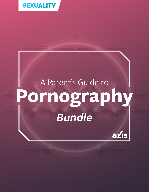

# A Parent's Guide to **Pornography** *Bundle*

axis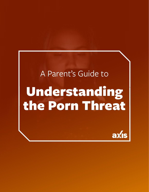# A Parent's Guide to Understanding the Porn Threat

axis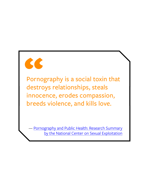

Pornography is a social toxin that destroys relationships, steals innocence, erodes compassion, breeds violence, and kills love.

[Pornography and Public Health: Research Summary](http://endsexualexploitation.org/wp-content/uploads/NCOSE_Pornography-PublicHealth_ResearchSummary_8-2_17_FINAL-with-logo.pdf) [by the National Center on Sexual Exploitation](http://endsexualexploitation.org/wp-content/uploads/NCOSE_Pornography-PublicHealth_ResearchSummary_8-2_17_FINAL-with-logo.pdf)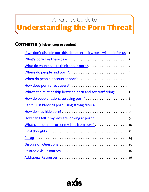## A Parent's Guide to

## <span id="page-3-0"></span>Understanding the Porn Threat

### Contents **(click to jump to section)**

| If we don't disciple our kids about sexuality, porn will do it for us. 1 |
|--------------------------------------------------------------------------|
|                                                                          |
|                                                                          |
|                                                                          |
| When do people encounter porn?  4                                        |
|                                                                          |
| What's the relationship between porn and sex trafficking? 5              |
| How do people rationalize using porn?  6                                 |
| Can't I just block all porn using strong filters?  8                     |
|                                                                          |
|                                                                          |
| What can I do to protect my kids from porn? 10                           |
|                                                                          |
|                                                                          |
|                                                                          |
|                                                                          |
|                                                                          |

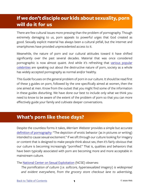## <span id="page-4-0"></span>**If we don't disciple our kids about sexuality, porn will do it for us**

There are few cultural issues more pressing than the problem of pornography. Though extremely damaging to us, porn appeals to powerful urges that God created as good. Sexually explicit material has always been a cultural pitfall, but the internet and smartphones have provided unprecedented access to it.

Meanwhile, the nature of porn and our cultural attitudes toward it have shifted significantly over the past several decades. Material that was once considered pornographic is now almost quaint. And while it's refreshing that [various popular](https://fightthenewdrug.org/8-hollywood-stars-who-dont-watch-porn/)  [celebrities](https://fightthenewdrug.org/8-hollywood-stars-who-dont-watch-porn/) are speaking out about the destructive nature of porn, society as a whole has widely accepted pornography as normal and/or healthy.

This Guide focuses on the general problem of porn in our culture. It should be read first of these 3 guides on porn, followed by the one specifically aimed at women, then the one aimed at men. Know from the outset that you might find some of the information in these guides disturbing. We have done our best to include only what we think you need to know to be aware of the extent of the problem of porn so that you can more effectively guide your family and cultivate deeper conversations.

## **What's porn like these days?**

Despite the countless forms it takes, *Merriam Webster* provides a simple but accurate [definition of pornography:](https://www.merriam-webster.com/dictionary/pornography) "The depiction of erotic behavior (as in pictures or writing) intended to cause sexual excitement." If we sift through our culture looking for imagery or content that is designed to make people think about sex, then it's fairly obvious that our culture is becoming increasingly "pornified." That is, qualities and behaviors that have been typically associated with porn are becoming more and more acceptable in mainstream culture.

The [National Center on Sexual Exploitation](http://endsexualexploitation.org/wp-content/uploads/NCOSE_Pornography-PublicHealth_ResearchSummary_8-2_17_FINAL-with-logo.pdf) (NCSE) observes:

*The pornification of culture (i.e. softcore, hypersexualized imagery) is widespread and evident everywhere, from the grocery store checkout lane to advertising,*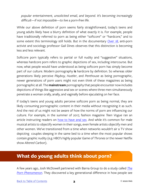<span id="page-5-0"></span>*popular entertainment, unsolicited email, and beyond. It's becoming increasingly difficult—if not impossible—to live a porn-free life.*

While our above definition of porn seems fairly straightforward, today's teens and young adults likely have a blurry definition of what exactly it is. For example, people have traditionally referred to porn as being either "softcore" or "hardcore," and to some extent this terminology still holds. But in the documentary *[Over 18](http://over18doc.com)*, anti-porn activist and sociology professor Gail Dines observes that this distinction is becoming less and less relevant.

Softcore porn typically refers to partial or full nudity and "suggestive" situations, whereas hardcore porn refers to graphic depictions of sex, including intercourse. But now, what people would have understood as being softcore porn has simply become part of our culture. Modern pornography **is** hardcore by definition. So whereas older generations likely perceive *Playboy, Hustler*, and *Penthouse* as being pornographic, newer generations of porn users might not even think of these magazines as being pornographic at all. The **mainstream** pornography that people encounter now includes depictions of things like aggressive anal sex or scenes where three men simultaneously penetrate a woman orally, anally, and vaginally before ejaculating on her face.

If today's teens and young adults perceive softcore porn as being normal, they are likely consuming pornographic content in their media without recognizing it as such. And the rest of us might not be aware of how the norms of porn are influencing our culture. For example, in the summer of 2017, fashion magazine *Teen Vogue* ran an article instructing readers on [how to have anal sex.](https://www.teenvogue.com/story/anal-sex-what-you-need-to-know) And while it's common for male musical artists to objectify women in their songs, even female artists objectify men and other women. We've transitioned from a time when networks wouldn't air a TV show depicting couples sleeping in the same bed to a time when the most popular shows contain graphic nudity (e.g. HBO's highly popular *Game of Thrones* or the newer Netflix show *Altered Carbon*).

## **What do young adults think about porn?**

A few years ago, Josh McDowell partnered with Barna Group to do a study called *[The](https://www.barna.com/research/porn-in-the-digital-age-new-research-reveals-10-trends/)  [Porn Phenomenon](https://www.barna.com/research/porn-in-the-digital-age-new-research-reveals-10-trends/)*. They discovered a key generational difference in how people see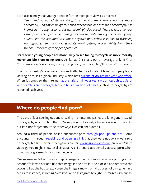<span id="page-6-0"></span>porn use, namely that younger people for the most part view it as normal:

*Teens and young adults are living in an environment where porn is more acceptable—and more ubiquitous than ever before. As access to pornography has increased, the stigma toward it has seemingly decreased. There is just a general assumption that people are using porn—especially among teens and young adults. And this assumption is not a negative one. When it comes to watching pornography, teens and young adults aren't getting accountability from their friends—they are getting peer pressure.*

Barna found **young people are more likely to see failing to recycle as more morally reprehensible than using porn**. As far as Christians go, on average only 16% of Christians are actively trying to stop using porn, compared to 9% of non-Christians.

The porn industry's revenue and online traffic tell us a lot about how much people are viewing porn. It's a global industry, which nets [billions of dollars per year worldwide](https://fightthenewdrug.org/how-free-porn-industry-growing-in-fast-paced-digitized/). When it comes to the internet, [about 12% of all websites are pornographic,](https://www.therecoveryvillage.com/process-addiction/porn-addiction/related/pornography-statistics/) [25% of](https://blogs.psychcentral.com/sex/2013/05/the-prevalence-of-porn/) [web searches are pornographic,](https://blogs.psychcentral.com/sex/2013/05/the-prevalence-of-porn/) and [tens of millions of cases](https://www.nytimes.com/interactive/2019/09/28/us/child-sex-abuse.html) of child pornography are reported each year.

## **Where do people find porn?**

The days of kids seeking out and sneaking in smutty magazines are long gone. Instead, pornography is out to find them. Online porn is obviously a huge concern for parents, but let's not forget about the other ways kids can encounter it.

Around a third of people online encounter porn [through pop-ups and ads.](https://fightthenewdrug.org/10-porn-stats-that-will-blow-your-mind/) Some encounter it through [receiving and opening a link](http://www.dailymail.co.uk/news/article-5507751/NSPCC-offers-counselling-children-young-11-addicted-porn.html) that they were not aware went to a pornographic site. Certain video games contain [pornographic content](https://en.wikipedia.org/wiki/Sex_and_nudity_in_video_games) (and even "safe" video games might show explicit ads). A child could accidentally access porn when doing a Google search for something else.

One woman we talked to saw a graphic image on Twitter simply because a pornographic account followed her and had that image in the profile. She blocked and reported the account, but she had already seen the image simply from that user following her. In a separate instance, searching "#california" on Instagram brought up images with nudity.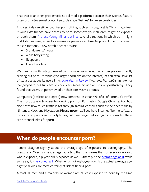<span id="page-7-0"></span>Snapchat is another problematic social media platform because their Stories feature often promotes sexual content (e.g. cleavage "battles" between celebrities).

And yes, kids can still encounter porn offline, such as through cable TV or magazines. If your kids' friends have access to porn somehow, your children might be exposed through them. [Protect Young Minds outlines](https://protectyoungminds.org/2018/03/27/5-sneaky-locations-porn-finds-kids/) several situations in which porn might find kids unaware, as well as measures parents can take to protect their children in those situations. A few notable scenarios are:

- Grandparents' house
- While babysitting
- Sleepovers
- The school bus

We think it's worth noting the most common avenues through which people are currently seeking out porn. Pornhub (the largest porn site on the internet) has an exhaustive list of statistics about its users in its [2019 Year in Review](https://www.pornhub.com/insights/2019-year-in-review) [*warning: Pornhub stats are not inappropriate, but they are on the Pornhub domain and are still very disturbing*]. They found that 76.6% of porn viewed on their site was via phones.

Computers (desktop and laptop) now comprise less than 17% of all of Pornhub's traffic. The most popular browser for viewing porn on Pornhub is Google Chrome. Pornhub also notes how much traffic it got through gaming consoles such as the ones made by Nintendo, Xbox, and Playstation. **Please note** that if you have internet filtering software for your computers and smartphones, but have neglected your gaming consoles, these are potential inlets for porn.

## **When do people encounter porn?**

People disagree slightly about the average age of exposure to pornography. The creators of *Over 18* cite it as age 12, noting that this means that for every 15-year-old who is exposed, a 9-year-old is exposed as well. Others put the <u>[average age at 11](https://www.netnanny.com/blog/the-detrimental-effects-of-pornography-on-small-children/)</u>, while some say it is [as young as 8.](https://fightthenewdrug.org/real-average-age-of-first-exposure/) Whether or not eight-years-old is the actual **average** age, eight-year-olds are most certainly at risk of finding porn.

Almost all men and a majority of women are at least exposed to porn by the time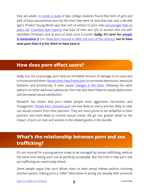<span id="page-8-0"></span>they are adults. [In 2008, a study](http://www.covenanteyes.com/pornstats/) of 560 college students found that 62% of girls and 93% of boys encountered porn by the time they were 18 (and that was over a decade ago!). Protect Young Minds says that 10% of visitors to porn sites [are younger than 10](https://protectyoungminds.org/2017/08/24/one-in-ten-visitors-to-porn-sites-age-10-or-under/) [years old.](https://protectyoungminds.org/2017/08/24/one-in-ten-visitors-to-porn-sites-age-10-or-under/) [Covenant Eyes reports](http://www.covenanteyes.com/pornography-facts-and-statistics/) that 64% of men and 15% of women who are selfidentified Christians look at porn at least once a month. **Sadly, it's rarer for [people](https://factsandtrends.net/2017/09/29/10-traits-of-generation-z/)  [in Generation Z](https://factsandtrends.net/2017/09/29/10-traits-of-generation-z/)** (i.e. [those born around or after the turn of the century\)](https://en.wikipedia.org/wiki/Generation_Z#Date_and_age_range_definition) **not to have seen porn than it is for them to have seen it.**

## **How does porn affect users?**

Sadly, but not surprisingly, porn does an incredible amount of damage to its users and to those around them. [Researchers have linked porn](http://www.acpeds.org/the-college-speaks/position-statements/the-impact-of-pornography-on-children) to increased depression, antisocial behavior, and promiscuity. It even causes [changes in the brain,](http://endsexualexploitation.org/wp-content/uploads/NCOSE_Pornography-PublicHealth_ResearchSummary_8-2_17_FINAL-with-logo.pdf) following the same patterns as other addictive substances. Porn has also been linked to sexual dysfunction and decreased sexual satisfaction.

Research has shown that porn makes people more aggressive, narcissistic, and misogynistic. [People who consume porn](http://enough.org/stats_porn_industry) are less likely to marry and less likely to seek out sexual consent from their partners. They are more prone to be unfaithful to their partners and more likely to commit sexual crimes. We go into greater detail on the impact of porn on men and women in the related guides in this bundle.

## **What's the relationship between porn and sex trafficking?**

It's not unusual for a young person today to be outraged by human trafficking, while at the same time seeing porn use as perfectly acceptable. But the truth is that porn and sex trafficking are inextricably linked.

Some people argue that porn allows them to have sexual release without involving another person, making porn a "safer" alternative to acting out sexually with someone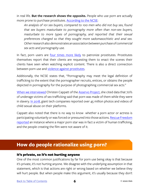<span id="page-9-0"></span>in real life. **But the research shows the opposite.** People who use porn are actually more prone to purchase prostitutes. [According to the NCSE](https://endsexualexploitation.org/):

*An analysis of 101 sex buyers, compared to 100 men who did not buy sex, found that sex buyers masturbate to pornography more often than non-sex buyers, masturbate to more types of pornography, and reported that their sexual preferences changed so that they sought more sadomasochistic and anal sex. Other research also demonstrates an association between purchase of commercial sex acts and pornography use.*

In fact, porn users are [four times more likely](https://www.youtube.com/watch?v=iTh-Crp1aQs) to patronize prostitutes. Prostitutes themselves report that their clients are requesting them to enact the scenes their clients have seen when watching explicit content. There is also a direct connection between porn use and [violence against prostitutes](https://www.rescuefreedom.org/wp-content/uploads/2017/10/slave-and-the-porn-star.pdf).

Additionally, the NCSE states that, "Pornography may meet the legal definition of trafficking to the extent that the pornographer recruits, entices, or obtains the people depicted in pornography for the purpose of photographing commercial sex acts."

[When we interviewed](https://www.genzfaith.com/home) Christen Cappatt of the [Asservo Project,](http://theasservoproject.org) she cited data that 70% of underage victims of sex trafficking said that porn was made of them while they were in slavery. [In 2018](https://www.nytimes.com/interactive/2019/09/28/us/child-sex-abuse.html), giant tech companies reported over 45 million photos and videos of child sexual abuse on their platforms.

Cappatt also noted that there is no way to know whether a porn actor or actress is participating voluntarily or was forced or pressured into those actions. Rescue Freedom [reported](https://www.rescuefreedom.org/refusetoclick/) an instance where a major porn star was in fact a victim of human trafficking, and the people creating the film were not aware of it.

## **How do people rationalize using porn?**

#### It's private, so it's not hurting anyone

One of the most common justifications by far for porn use being okay is that because it's private, it's not hurting anyone. We disagree with the underlying assumption in that statement, which is that actions are right or wrong based on whether we believe they will hurt people. But when people make this argument, it's usually because they don't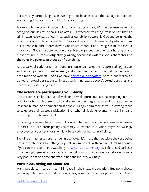perceive any harm taking place. We might not be able to see the damage our actions are causing, but real harm could still be occurring.

For example, we could indulge in lust in our hearts and say it's fine because we're not acting on our desires by having an affair. But whether we recognize it or not, that sin still impacts every part of our lives, such as our ability to worship God and be in healthy relationships with those closest to us. Moral values are not determined by what we think hurts people, but are rooted in who God is: just, merciful, and loving. We must base our morality on God's character, not on our subjective perception of what is hurting us and those around us. **Porn is objectively wrong because it violates God's character and the rules He gave to protect our flourishing.**

And as we've already noted, porn does hurt its users. It makes them depressed, aggressive, and less empathetic toward women, and it has been linked to sexual dysfunction in both men and women. And as we have [pointed out elsewhere,](https://axis.org/issue-22/) porn is not merely an outlet for sexual desire, but an inlet as well. It increases people's sexual appetites and becomes less satisfying over time.

#### The actors are participating voluntarily

This reason is irrelevant. Even if male and female porn stars are participating in porn voluntarily, to watch them is still to take part in their degradation and to treat them as less than human. As a comparison, if people willingly harm themselves, it's wrong for us to celebrate their twisted satisfaction. Even when sin is done voluntarily, it's still sin, and it's wrong for us to support it.

But again, porn users have no way of knowing whether or not the people—the actresses in particular—are participating voluntarily. A woman in a video might be willingly employed as a porn star, or she might be a victim of human trafficking.

Even if porn actresses are not being trafficked, it's more than possible they are being pressured into doing something they feel uncomfortable with but are tolerating anyway. If you can, we recommend watching the *[Over 18](http://over18doc.com)* [documentary](http://over18doc.com) we referenced earlier. It provides a glimpse into the effects of the industry on two female porn stars who were very popular at one time and who joined the industry willingly.

#### Porn is educating me about sex

Many people turn to porn to fill in gaps in their sexual education. But porn shows an exaggerated, unrealistic depiction of sex, something that people in the adult film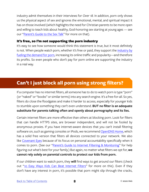<span id="page-11-0"></span>industry admit themselves in their interviews for *Over 18*. In addition, porn only shows us the physical aspect of sex and ignores the emotional, mental, and spiritual impact it has on those involved (which highlights the need for Christian parents to be more open and willing to teach kids about healthy, God-honoring sex starting at young ages — see our ["Parent's Guide to the Sex Talk"](https://axis.org/guides) for more on that).

#### It's free, so I'm not supporting the porn industry

It's easy to see how someone would think this statement is true, but it most definitely is not. When people watch porn, whether it's free or paid, they support the [industry](http://seanmcdowell.org/blog/7-inconvenient-truths-about-pornography) [by](http://seanmcdowell.org/blog/7-inconvenient-truths-about-pornography) [fueling the demand for porn,](http://seanmcdowell.org/blog/7-inconvenient-truths-about-pornography) increasing its online traffic and popularity—and therefore its profits. So even people who don't pay for porn online are supporting the industry in a real way.

## **Can't I just block all porn using strong filters?**

If a computer has no internet filters, all someone has to do to watch porn is type "porn" (or "naked" or "boobs" or similar terms) into any search engine. It's a free-for-all. So yes, filters do close the floodgates and make it harder to access, especially for younger kids to stumble upon something they can't even understand. **BUT no filter is an adequate substitute for parents talking often and openly about pornography and its lies.**

Certain internet filters are more effective than others at blocking porn. Look for filters that can handle HTTPS sites, are browser independent, and will not be fooled by anonymous proxies. If you have internet-aware devices that you can't install filtering software on, such as gaming consoles or iPods, we recommend [OpenDNS Home](https://www.opendns.com/home-internet-security/), which has a solid free version that filters all devices connected to your network. We also like [Covenant Eyes](http://www.covenanteyes.com) because of its focus on personal accountability specifically when it comes to porn. (See our "[Parent's Guide to Internet Filtering & Monitoring](https://axis.org/guides)" for help figuring out what's best for your family.) But again, no matter what filters we opt for, **we cannot rely solely on parental controls to protect our kids from porn.**

If our children want to watch porn, they **will** find ways to get around our filters (check out ["10 Easy Ways Kids Can Beat Internet Filters](https://protectyoungminds.org/2017/01/19/10-ways-kids-beat-internet-filters/)" for more on this). Even if they don't have any interest in porn, it's possible that porn might slip through the cracks,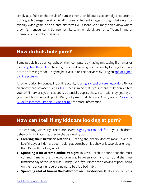<span id="page-12-0"></span>simply as a fluke or the result of human error. A child could accidentally encounter a pornographic magazine at a friend's house or be sent images through chat on a kidfriendly video game or on a chat platform like Discord. We simply don't know where they might encounter it. So internet filters, while helpful, are not sufficient in and of themselves to combat this issue.

## **How do kids hide porn?**

Some people hide pornography on their computers by having misleading file names or by [encrypting their files](https://gizmodo.com/5497953/how-to-hide-your-collection). They might conceal viewing porn online by looking for it in a private browsing mode. They might save it in on their devices by using an app designed [to hide pictures](https://www.dailydot.com/debug/iphone-porn/).

Another option for concealing online activity is [using a virtual private network](https://www.androidcentral.com/how-hide-your-porn-browsing-habits-android) (VPN) or an anonymous browser, such as [TOR](https://www.torproject.org/projects/torbrowser.html.en). Keep in mind that if your internet filter only filters your WiFi network, your kids could potentially bypass those restrictions by getting on your neighbor's network, public WiFi, or by using cellular data. Again, see our "[Parent's](https://axis.org/parent-guides/) [Guide to Internet Filtering & Monitoring"](https://axis.org/parent-guides/) for more information.

## **How can I tell if my kids are looking at porn?**

Protect Young Minds says there are several [signs you can look for](https://protectyoungminds.org/2017/11/02/7-signs-child-viewing-porn/) in your children's behavior to indicate that they might be viewing porn:

- **• Clearing their browser histories**. Clearing the history doesn't mean in and of itself that your kids have been looking at porn, but this behavior is suspicious enough that it's worth looking into it.
- **• Spending a lot of time online at night**. In 2019, Pornhub found that the most common time its users viewed porn was between 10pm and 12am, and the most trafficked day of the week was Sunday. Even if your kids aren't looking at porn, being on their devices right before going to bed is a bad habit.
- **• Spending a lot of time in the bathroom on their devices.** Really, if you see your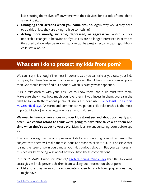<span id="page-13-0"></span>kids shutting themselves off anywhere with their devices for periods of time, that's a warning sign.

- **• Changing their screens when you come around.** Again, why would they need to do this unless they are trying to hide something?
- **• Acting more moody, irritable, depressed, or aggressive.** Watch out for noticeable changes in behavior or if your kids are no longer interested in activities they used to love. Also be aware that porn can be a major factor in causing child-onchild sexual abuse.

## **What can I do to protect my kids from porn?**

We can't say this enough: The most important step you can take as you raise your kids is to pray for them. We know of a mom who prayed that if her son were viewing porn, then God would let her find out about it, which is exactly what happened.

Pursue relationships with your kids. Get to know them, and build trust with them. Make sure they know how much you love them. If you invest in them, you earn the right to talk with them about personal issues like porn use. [Psychologist Dr. Patricia](http://www.covenanteyes.com/pornstats/) [M. Greenfield says](http://www.covenanteyes.com/pornstats/), "A warm and communicative parent-child relationship is the most important factor [in reducing porn use among children]."

#### **We need to have conversations with our kids about sex and about porn early and often. We cannot afford to think we're going to have "the talk" with them one**  time when they're about 10 years old. Many kids are encountering porn before age  $10<sub>1</sub>$

The common argument against preparing kids for encountering porn is that raising the subject with them will make them curious and want to seek it out. It is possible that raising the issue of porn could make your kids curious about it. But you can forestall this possibility by being wise about how you have these conversations.

In their "SMART Guide for Parents," [Protect Young Minds says](https://protectyoungminds.org/resources/) that the following strategies will help prevent children from seeking out information about porn:

• Make sure they know you are completely open to any follow-up questions they might have.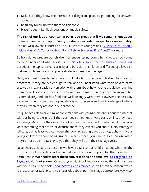- Make sure they know the internet is a dangerous place to go looking for answers about porn.
- Regularly follow up with them on this topic.
- Have frequent family discussions on media safety.

**The risk of our kids encountering porn is so great that if we remain silent about it, we surrender our opportunity to shape our kids' perspectives on sexuality.** Instead, we allow the culture to do so. See Protect Young Minds' "5 Reasons You Should [Initiate Your Kid's Curiosity about Porn \(Before Someone Else Does!\)](https://protectyoungminds.org/2015/05/28/communication-counters-curiosity-5-reasons-you-should-initiate-the-talk-about-porn-before-someone-else-does/)" for more.

So how do we prepare our children for encountering porn when they are too young to even understand what sex is? First, this [article from Seattle Christian Counseling](https://seattlechristiancounseling.com/articles/how-christian-parents-can-talk-to-their-children-about-sex) describes the typical sexual curiosity and behavior of children at different age levels so that we can formulate appropriate strategies based on their ages.

Next, we must consider what we should do to protect our children from sexual predators. If they are old enough to talk and to understand what their private parts are, we can have a basic conversation with them about how no one should be touching them there. If someone does or asks to, we have to make sure our children know to tell us immediately and not be afraid that we'll be angry with them. However, the best way to protect them from physical predators is our presence and our knowledge of where they are when they are not in our presence.

It's quite possible to have similar conversations with younger children about the internet without being too explicit. If they ever see someone's private parts online, they need a strategy. Make sure they know to tell you and not be afraid or ashamed. If they ever view something that scares or disturbs them, they can tell you about it. No strategy is fail-safe, but at least you can open the door to talking about pornography with your young children without being graphic. What's more, you can do so at an age when they're more open to talking to you than they will be in their teenage years.

Nevertheless, as early as possible, we have to talk to our children about what healthy expressions of sexuality look like and educate them on the potential that porn has to harm people. **We need to start these conversations on some level [as early as 6- to](https://www.washingtonpost.com/news/parenting/wp/2017/10/09/when-should-parents-talk-to-kids-about-internet-pornography-sooner-than-they-think/) [8-years-old](https://www.washingtonpost.com/news/parenting/wp/2017/10/09/when-should-parents-talk-to-kids-about-internet-pornography-sooner-than-they-think/), if not sooner.** One tool you might look into for starting these discussions with your kids is the book *[Good Pictures, Bad Pictures, Jr.](https://www.amazon.com/Good-Pictures-Bad-Jr-Protect/dp/0997318724/ref=sr_1_2)* by Kristen A. Jenson, which is a resource for talking to 3- to 6-year-olds about porn in an age-appropriate way. Also,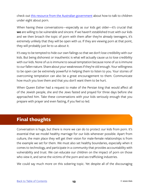<span id="page-15-0"></span>check out [this resource from the Australian government](https://www.esafety.gov.au/education-resources/iparent/online-risks/online-pornography/how-to-talk-to-under-8s-about-pornography) about how to talk to children under eight about porn.

When having these conversations—especially as our kids get older—it's crucial that **we** are willing to be vulnerable and sincere. If we haven't established trust with our kids and we then broach the topic of porn with them after they're already teenagers, it's extremely unlikely that they will be open with us. If they are viewing porn at that point, they will probably just lie to us about it.

It's easy to be tempted to hide our own failings so that we don't lose credibility with our kids. But being dishonest or inauthentic is what will actually cause us to lose credibility with our kids. None of us is immune to sexual temptation because none of us is immune to our fallen nature. Share about your weaknesses if they're old enough. Your willingness to be open can be extremely powerful in helping them to listen to you. Your stories of overcoming temptation can also be a great encouragement to them. Communicate how much you love them and that you don't want them to be hurt.

When Queen Esther had a request to make of the Persian king that would affect all of the Jewish people, she and the Jews fasted and prayed for three days before she approached him. Take these conversations with your kids seriously enough that you prepare with prayer and even fasting, if you feel so led.

## **Final thoughts**

Conversation is huge, but there is more we can do to protect our kids from porn. It's essential that we model healthy marriage for our kids whenever possible. Apart from culture, the main place they will get their vision for male-female relationships is from the example we set for them. We must also set healthy boundaries, especially when it comes to technology, and participate in a community that provides accountability with vulnerability and trust. We can educate our children on the impact of porn on those who view it, and serve the victims of the porn and sex trafficking industries.

We could say much more on this sobering topic. Yet despite all of the discouraging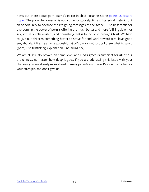news out there about porn, Barna's editor-in-chief Roxanne Stone [points us toward](https://www.barna.com/research/porn-in-the-digital-age-new-research-reveals-10-trends/) [hope](https://www.barna.com/research/porn-in-the-digital-age-new-research-reveals-10-trends/): "The porn phenomenon is not a time for apocalyptic and hysterical rhetoric, but an opportunity to advance the life-giving messages of the gospel." The best tactic for overcoming the power of porn is offering the much better and more fulfilling vision for sex, sexuality, relationships, and flourishing that is found only through Christ. We have to give our children something better to strive for and work toward (real love, good sex, abundant life, healthy relationships, God's glory), not just tell them what to avoid (porn, lust, trafficking, exploitation, unfulfilling sex).

We are all sexually broken on some level, and God's grace **is** sufficient for **all** of our brokenness, no matter how deep it goes. If you are addressing this issue with your children, you are already miles ahead of many parents out there. Rely on the Father for your strength, and don't give up.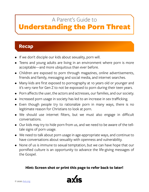## A Parent's Guide to

## <span id="page-17-0"></span>Understanding the Porn Threat

## **Recap**

- If we don't disciple our kids about sexuality, porn will.
- Teens and young adults are living in an environment where porn is more acceptable—and more ubiquitous than ever before.
- Children are exposed to porn through magazines, online advertisements, friends and family, messaging and social media, and internet searches.
- Many kids are first exposed to pornography at 10 years old or younger and it's very rare for Gen Z to not be expossed to porn during their teen years.
- Porn affects the user, the actors and actresses, our families, and our society.
- Increased porn usage in society has led to an increase in sex trafficking.
- Even though people try to rationalize porn in many ways, there is no legitimate reason for Christians to look at porn.
- We should use internet filters, but we must also engage in difficult conversations.
- Our kids may try to hide porn from us, and we need to be aware of the telltale signs of porn usage.
- We need to talk about porn usage in age-appropriate ways, and continue to have conversations about sexuality with openness and vulnerability.
- None of us is immune to sexual temptation, but we can have hope that our pornified culture is an opportunity to advance the life-giving messages of the Gospel.

#### **Hint: Screen shot or print this page to refer back to later!**

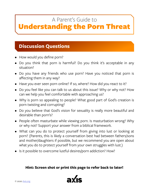## A Parent's Guide to

## <span id="page-18-0"></span>Understanding the Porn Threat

## **Discussion Questions**

- How would you define porn?
- Do you think that porn is harmful? Do you think it's acceptable in any situation?
- Do you have any friends who use porn? Have you noticed that porn is affecting them in any way?
- Have you ever seen porn online? If so, where? How did you react to it?
- Do you feel like you can talk to us about this issue? Why or why not? How can we help you feel comfortable with approaching us?
- Why is porn so appealing to people? What good part of God's creation is porn twisting and corrupting?
- Do you believe that God's vision for sexuality is really more beautiful and desirable than porn's?
- People often masturbate while viewing porn. Is masturbation wrong? Why or why not? Support your answer from a biblical framework.
- What can you do to protect yourself from giving into lust or looking at porn? (Parents, this is likely a conversation best had between fathers/sons and mother/daughters if possible, but we recommend you are open about what you do to protect yourself from your own struggles with lust.)
- Is it possible to overcome lustful desires/porn addiction? How?

#### **Hint: Screen shot or print this page to refer back to later!**

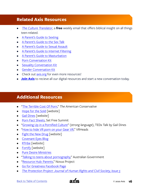### <span id="page-19-0"></span>**Related Axis Resources**

- *[The Culture Translator](https://axis.org/ct/)*, a **free** weekly email that offers biblical insight on all things teen-related.
- [A Parent's Guide to Sexting](https://axis.org/product/membership-product-for-sexting/)
- [A Parent's Guide to the Sex Talk](https://axis.org/product/membership-product-for-the-sex-talk/)
- [A Parent's Guide to Sexual Assault](https://axis.org/product/a-parents-guide-to-sexual-assault/)
- [A Parent's Guide to Internet Filtering](https://axis.org/product/membership-product-for-internet-filtering/)
- [A Parent's Guide to Masturbation](https://axis.org/product/masturbation-guide/)
- [Porn Conversation Kit](https://axis.org/product/pornography/)
- [Sexuality Conversation Kit](https://axis.org/product/sexuality-video-kit/)
- [Gender Conversation Kit](https://axis.org/product/gender/)
- Check out [axis.org](http://axis.org/) for even more resources!
- **[Join Axis](https://axis.org/all-axis-pass/)** to recieve all our digital resources and start a new conversation today.

## **Additional Resources**

- ["The Terrible Cost Of Porn](http://www.theamericanconservative.com/dreher/terrible-cost-of-porn/)," *The American Conservative*
- [Hope for the Sold](http://hopeforthesold.com) [website]
- [Gail Dines](http://gaildines.com) [website]
- [Porn Fact Sheets,](http://setfreesummit.org/wp-content/uploads/2016/02/Porn-Phenomenon-Fact-Sheets.pdf) Set Free Summit
- ["Growing Up in a Pornified Culture](https://www.youtube.com/watch?v=_YpHNImNsx8)" (*strong language*), TEDx Talk by Gail Dines
- ["How to hide VR porn on your Gear VR,](https://www.vrheads.com/how-hide-vr-porn-your-gear-vr)" VRHeads
- [Fight the New Drug](https://fightthenewdrug.org) [website]
- [Covenant Eyes Blog](http://www.covenanteyes.com/blog/)
- [RTribe](https://www.rtribe.org) [website]
- [Fortify](https://www.joinfortify.com/) [website]
- [Pure Desire Ministries](https://puredesire.org)
- ["Talking to teens about pornography](https://www.esafety.gov.au/education-resources/iparent/online-risks/online-pornography/talking-to-teens-about-pornography)," Australian Government
- ["Resource Hub: Parents](http://thenovusproject.org/resource-hub/parents)," Novus Project
- [Go for Greatness Facebook Page](https://www.facebook.com/greatnessorg/)
- *[The Protection Project: Journal of Human Rights and Civil Society, Issue 5](https://www.rescuefreedom.org/wp-content/uploads/2017/10/slave-and-the-porn-star.pdf)*

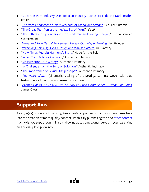- ["Does the Porn Industry Use 'Tobacco Industry Tactics' to Hide the Dark Truth?"](https://fightthenewdrug.org/porn-industry-uses-tobacco-industry-tactics-to-hide-the-truth/) FTND
- *[The Porn Phenomenon: New Research of Global Importance](https://setfreesummit.org/barna-study/)*, Set Free Summit
- ["The Great Tech Panic: the Inevitability of Porn,](https://www.wired.com/2017/08/kids-and-porn/)" *Wired*
- ["The effects of pornography on children and young people](https://aifs.gov.au/publications/effects-pornography-children-and-young-people-snapshot)," the Australian Government
- *[Unwanted: How Sexual Brokenness Reveals Our Way to Healing](https://www.amazon.com/Unwanted-Sexual-Brokenness-Reveals-Healing/dp/1631466720)*[,](https://www.amazon.com/Unwanted-Sexual-Brokenness-Reveals-Healing/dp/1631466720) Jay Stringer
- *[Rethinking Sexuality: God's Design and Why It Matters](https://www.amazon.com/Rethinking-Sexuality-Gods-Design-Matters/dp/0735291470)*, Juli Slattery
- ["How Pimps Recruit: Harmony's Story,](https://www.youtube.com/watch?v=un8iVJAwx8I)" Hope for the Sold
- ["When Your Kids Look at Porn](https://www.authenticintimacy.com/resources/8006/when-your-kids-look-at-porn)," Authentic Intimacy
- ["Masturbation: Is It Wrong?"](https://www.authenticintimacy.com/resources/6962/masturbation-is-it-wrong) Authentic Intimacy
- ["A Challenge from the Song of Solomon,](https://www.authenticintimacy.com/resources/3303/a-challenge-from-the-song-of-solomon)" Authentic Intimacy
- ["The Importance of Sexual Discipleship™](https://www.authenticintimacy.com/resources/2641/the-importance-of-sexual-discipleship)" Authentic Intimacy
- *[The Heart of Man](http://heartofmanmovie.com/)* (cinematic retelling of the prodigal son interwoven with true testimonials of personal and sexual brokenness)
- *[Atomic Habits: An Easy & Proven Way to Build Good Habits & Break Bad Ones](https://www.amazon.com/Atomic-Habits-Proven-Build-Break/dp/0735211299)*, James Clear

## **Support Axis**

As a  $501(c)(3)$  nonprofit ministry, Axis invests all proceeds from your purchases back into the creation of more quality content like this. By purchasing this and [other content](https://axis.org) from Axis, you support our ministry, allowing us to come alongside you in your parenting and/or discipleship journey.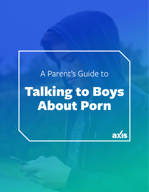# A Parent's Guide to Talking to Boys About Porn

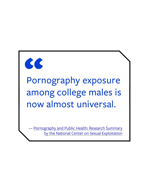

## Pornography exposure among college males is now almost universal.

Pornography and Public Health: Research Summary by the National Center on Sexual Exploitation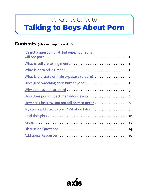## A Parent's Guide to

## <span id="page-23-0"></span>Talking to Boys About Porn

#### **Contents (click to jump to section)**

| It's not a question of <b>if</b> , but <b>when</b> our sons |
|-------------------------------------------------------------|
|                                                             |
|                                                             |
|                                                             |
|                                                             |
|                                                             |
|                                                             |
| How does porn impact men who view it?  5                    |
| How can I help my son not fall prey to porn?  6             |
|                                                             |
|                                                             |
|                                                             |
|                                                             |
|                                                             |

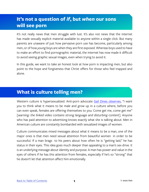## <span id="page-24-0"></span>**It's not a question of** *if***, but** *when* **our sons will see porn**

It's not really news that men struggle with lust. It's also not news that the internet has made sexually explicit material available to anyone within a single click. But many parents are unaware of just how pervasive porn use has become, particularly among men, or of how *young* boys are when they are first exposed. Whereas boys used to have to make an effort to find pornographic material, the internet has now made it difficult to avoid seeing graphic sexual images, even when trying to avoid it.

In this guide, we want to take an honest look at how porn is impacting men, but also point to the hope and forgiveness that Christ offers for those who feel trapped and alone.

### **What is culture telling men?**

Western culture is hypersexualized. Anti-porn advocate [Gail Dines observes](https://www.youtube.com/watch?v=_YpHNImNsx8), "I want you to think what it means to be male and grow up in a culture where, before you can even speak, females are offering themselves to you: Come get me, come get me" [*warning: the linked video contains strong language and disturbing content*]. Anyone who has paid attention to advertising knows exactly what she is talking about. Men in American culture are constantly bombarded with sexualized images of women.

Culture communicates mixed messages about what it means to be a man, one of the major ones is that men need sexual attention from beautiful women in order to be successful. If a man brags to his peers about how often he is "getting laid," he has status in their eyes. This idea goes much deeper than appealing to a man's sex drive. It is an underlying message about identity and purpose. A man has power and value in the eyes of others if he has this attention from females, especially if he's so "strong" that he doesn't let that attention affect him emotionally.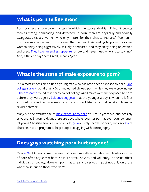## <span id="page-25-0"></span>**What is porn telling men?**

Porn portrays an overblown fantasy in which the above ideal is fulfilled. It depicts men as strong, dominating, and detached. In porn, men are physically and sexually exaggerated (as are women, who only matter for their physical features). Women in porn are submissive and do whatever the men want. According to porn's narrative, women enjoy being aggressively, sexually dominated, and they enjoy being objectified and used. [They have an endless appetite](http://godswayworks.com/2011/11/09/5-lies-pornography-tells-men/) for sex and never need or want to say "no." And, if they do say "no," it really means "yes."

## **What is the state of male exposure to porn?**

It is almost impossible to find a young man who has never been exposed to porn. [One](http://endsexualexploitation.org/wp-content/uploads/NCOSE_Pornography-PublicHealth_ResearchSummary_8-2_17_FINAL-with-logo.pdf) [college survey](http://endsexualexploitation.org/wp-content/uploads/NCOSE_Pornography-PublicHealth_ResearchSummary_8-2_17_FINAL-with-logo.pdf) found that 93% of males had viewed porn while they were growing up. [Other research](http://endsexualexploitation.org/wp-content/uploads/NCOSE_Pornography-PublicHealth_ResearchSummary_8-2_17_FINAL-with-logo.pdf) found that nearly half of college-aged males were first exposed to porn before they were age 13. [Evidence suggests](http://endsexualexploitation.org/wp-content/uploads/NCOSE_Pornography-PublicHealth_ResearchSummary_8-2_17_FINAL-with-logo.pdf) that the younger a boy is when he is first exposed to porn, the more likely he is to consume it later on, as well as let it inform his sexual behavior

Many put the average age of [male exposure to porn](http://thenovusproject.org/resource-hub/parents) at 11 to 12 years old, and possibly as young as 8-years-old, but there are boys who encounter porn at even younger ages. Of young Christian adults 18-24 years old,  $76\%$  actively search for porn, and only  $7\%$  of churches have a program to help people struggling with pornography.

## **Does guys watching porn hurt anyone?**

Over [50%](https://news.gallup.com/poll/235280/americans-say-pornography-morally-acceptable.aspx) of American men believe that porn is morally acceptable. People who approve of porn often argue that because it is normal, private, and voluntary, it doesn't affect individuals or society. However, porn has a real and serious impact not only on those who view it, but on those who don't.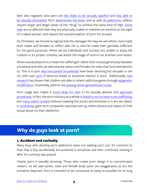<span id="page-26-0"></span>Men who regularly view porn are [less likely to be sexually satisfied](https://www.psychologytoday.com/us/blog/experimentations/201803/4-ways-porn-use-causes-problems) and [less able to](http://endsexualexploitation.org/wp-content/uploads/NCOSE_Pornography-PublicHealth_ResearchSummary_8-2_17_FINAL-with-logo.pdf)  [be sexually stimulated](http://endsexualexploitation.org/wp-content/uploads/NCOSE_Pornography-PublicHealth_ResearchSummary_8-2_17_FINAL-with-logo.pdf). Porn [desensitizes the brain,](https://www.everydayhealth.com/news/erection-problems-this-habit-may-why/) and as wit[h](https://www.youtube.com/watch?v=3gNHeZkUx80) [all addictions,](https://www.youtube.com/watch?v=3gNHeZkUx80) addicts require larger and larger doses of the "drug" to achieve the same kind of high. [Some](https://www.everydayhealth.com/news/erection-problems-this-habit-may-why/) [men](https://www.everydayhealth.com/news/erection-problems-this-habit-may-why/) are so affected that they are physically unable to maintain an erection at the sight of a naked woman, and require the overstimulation of porn for arousal.

As Christians, we should recognize that this damages the way we see others. God made both males and females to reflect who He is, and He made their genitalia sufficient for His good purposes. When we (as individuals and society) are unable to enjoy His creation in its proper contexts, we attack the image of God in our brothers and sisters.

When sexual pleasure is a means for selfish gain rather than mutual generosity between a husband and wife, we dehumanize others and forsake the roles that God intended for us. This is in part [why two-parent households](https://www.pewsocialtrends.org/2015/12/17/1-the-american-family-today/) have been declining for decades in the US, with over [50%](https://conquerseries.com/15-mind-blowing-statistics-about-pornography-and-the-church/) of divorces linked to excessive interest in porn. Additionally, [new](https://www.youtube.com/watch?v=DK9OfNFE1zM) [research](https://www.youtube.com/watch?v=DK9OfNFE1zM) has shown that children are able to inherit addictive genes through [epigenetic](https://www.youtube.com/watch?v=DK9OfNFE1zM) [modification.](https://www.youtube.com/watch?v=DK9OfNFE1zM) Essentially, parents are [passing down generational curses.](https://www.youtube.com/watch?v=DK9OfNFE1zM)

Porn usage also makes it [more likely for men](https://vawnet.org/material/pornography-and-sexual-violence) to be sexually abusive and [patronize](https://www.youtube.com/watch?v=iTh-Crp1aQs) [prostitutes.](https://www.youtube.com/watch?v=iTh-Crp1aQs) In fact, the porn industry as a whole is [linked to an increase in sex trafficking](https://enough.org/stats-sex-trafficking), and [many watch content](https://rescuefreedom.org/refusetoclick/) without realizing the actors and actresses in it are sex slaves. In [2018 alone](https://www.nytimes.com/interactive/2019/09/28/us/child-sex-abuse.html), giant tech companies reported over 45 million photos and videos of child sexual abuse on their platforms.

## **Why do guys look at porn?**

#### 1. Accident and curiosity

Many boys who develop porn addictions were not seeking porn out. It's common to hear that a boy accidentally encountered it somehow and then continued viewing it after his curiosity was piqued.

Clearly, porn is sexually arousing. Those who create porn design it to overstimulate viewers. As we said earlier, male and female body parts are exaggerated, as are the scenarios depicted. Porn is intended to be consumed as easily as possible for as long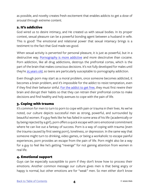as possible, and novelty creates fresh excitement that enables addicts to get a dose of arousal through extreme content.

#### 2. It's addictive

God wired us to desire intimacy, and He created us with sexual bodies. In its proper context, sexual pleasure can be a powerful bonding agent between a husband in wife. This is good! The emotional and relational power that sexual intamacy brings is a testiment to the fact that God made sex good.

When sexual activity is perverted for personal pleasure, it is just as powerful, but in a destructive way. [Pornography is more addictive](https://www.youtube.com/watch?v=3gNHeZkUx80) and more desctrutive than cocaine. Porn addiction, like all drug addictions, destroys the prefrontal cortex, which is the part of the brain that makes conscious decisions. It's not fully developed for males until they're [25 years old,](https://bigthink.com/mind-brain/adult-brain) so teens are particularly susceptable to pornography addiction.

Even though porn may start as a moral problem, once someone becomes addicted, it becomes a brain problem, and it's impossible for the addict to resist temptation, even if they find their behavior sinful. [For the addict to get free,](https://conquerseries.com/) they must first rewire their brain and disrupt their habits so that they can retrain their prefrontal cortex to make decisions and find healthy and holy avenues to cope with the pain of life.

#### 3. Coping with trauma

It's common for men to turn to porn to cope with pain or trauma in their lives. As we've noted, our culture depicts successful men as strong, powerful, and surrounded by beautiful women. If a guy feels like he has failed in some area of his life (academically or by being rejected by a girl), porn offers a quick escape with zero emotional commitment where he can live out a fantasy of success. Porn is a way of coping with trauma (even the trauma caused by first seeing porn), loneliness, or depression. In the same way that someone might turn to drinking, video games, or being a workaholic to escape painful experiences, porn provides an escape from the pain of life. Porn might also be a way for a guy to feel like he's getting "revenge" for not gaining attention from women in real life.

#### 4. Emotional support

Guys can be especially susceptible to porn if they don't know how to process their emotions. Another common message our culture gives men is that being angry or happy is normal, but other emotions are for "weak" men. So men either don't know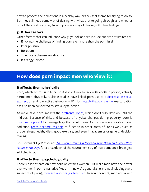<span id="page-28-0"></span>how to process their emotions in a healthy way, or they feel shame for trying to do so. But they still need some way of dealing with what they're going through, and whether or not they realize it, they turn to porn as a way of dealing with their feelings.

#### 5. Other factors

Other factors that can influence why guys look at porn include but are not limited to:

- Enjoying the challenge of finding porn even more than the porn itself
- Peer pressure
- Boredom
- To educate themselves about sex
- It's "edgy" or cool

## **How does porn impact men who view it?**

#### It affects them physically

Porn, which seems safe because it doesn't involve sex with another person, actually harms men physically. Multiple studies have linked porn use to a [decrease in sexual](http://endsexualexploitation.org/wp-content/uploads/NCOSE_Pornography-PublicHealth_ResearchSummary_8-2_17_FINAL-with-logo.pdf) [satisfaction](http://endsexualexploitation.org/wp-content/uploads/NCOSE_Pornography-PublicHealth_ResearchSummary_8-2_17_FINAL-with-logo.pdf) and to erectile dysfunction (ED). It's [notable that compulsive](http://endsexualexploitation.org/wp-content/uploads/NCOSE_Pornography-PublicHealth_ResearchSummary_8-2_17_FINAL-with-logo.pdf) [m](http://endsexualexploitation.org/wp-content/uploads/NCOSE_Pornography-PublicHealth_ResearchSummary_8-2_17_FINAL-with-logo.pdf)asturbation has also been connected to sexual dysfunction.

As we've said, porn impacts the [prefrontal lobes](https://www.thescienceofpsychotherapy.com/prefrontal-cortex/#:~:text=The prefrontal cortex (PFC) is,making%2C and moderating social behaviour.), which don't fully develop until the mid-20s. Because of this, and because of physical changes during puberty, porn is [much more potent](http://www.covenanteyes.com/2018/01/08/5-reasons-porn-impacts-kids-more-than-adults/) for teenage boys than adult males. As the brain deteriorates during addiction, [teens become less able](https://www.drugabuse.gov/drug-topics/addiction-science) to function in other areas of life as well, such as proper sleep, healthy diets, good exercise, and even in academics or general decision making.

See Covenant Eyes' resource *[The Porn Circuit: Understand Your Brain and Break Porn](http://learn.covenanteyes.com/porn-circuit/)  [Habits in 90 Days](http://learn.covenanteyes.com/porn-circuit/)* for a breakdown of the neurochemistry of how someone's brain gets addicted to porn.

#### It affects them psychologically

There's a lot of data on how porn objectifies women. But while men have the power over women in porn's narrative (keep in mind we're generalizing and not including every subgenre of porn), [men are also being objectified](https://fightthenewdrug.org/porn-objectifies-women-men/). In adult content, men are valued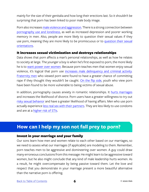<span id="page-29-0"></span>mainly for the size of their genitalia and how long their erections last. So it shouldn't be surprising that porn has been linked to poor male body image.

Porn also increases [male violence and aggression](http://endsexualexploitation.org/wp-content/uploads/NCOSE_Pornography-PublicHealth_ResearchSummary_8-2_17_FINAL-with-logo.pdf). There is a strong connection between [pornography use and loneliness](https://www.psychologytoday.com/us/blog/experimentations/201803/4-ways-porn-use-causes-problems), as well as increased depression and poorer working memory in men. Also, people are more likely to question their sexual values if they use porn, meaning they are more likely to be promiscuous or to [question their sexual](https://www.mentalhelp.net/internet/addiction/pornography-exposure-and-confusion/)  [orientations](https://www.mentalhelp.net/internet/addiction/pornography-exposure-and-confusion/).

#### It increases sexual victimization and destroys relationships

Data shows that porn affects a man's personal relationships, as well as how he relates to society at large. The younger a boy is when he's first exposed to porn, the more likely he is to [want power over women.](http://www.apa.org/news/press/releases/2017/08/pornography-exposure.aspx) Because porn teaches men that women enjoy sexual violence, it's logical that porn use [increases male delinquency and criminal activity](http://endsexualexploitation.org/wp-content/uploads/NCOSE_Pornography-PublicHealth_ResearchSummary_8-2_17_FINAL-with-logo.pdf). [Fraternity men](http://endsexualexploitation.org/wp-content/uploads/NCOSE_Pornography-PublicHealth_ResearchSummary_8-2_17_FINAL-with-logo.pdf) who viewed porn were found to have a greater chance of committing rape if they thought they wouldn't be caught. [On the flip side](https://fightthenewdrug.org/10-porn-stats-that-will-blow-your-mind/), youth who view porn have been found to be more vulnerable to being victims of sexual abuse.

In addition, pornography causes anxiety in romantic relationships. It [hurts marriages](https://www.psychologytoday.com/us/blog/experimentations/201803/4-ways-porn-use-causes-problems) and increases the likelihood of divorce. Porn users have a greater willingness to try out [risky sexual behavior](https://fightthenewdrug.org/is-pornography-consumption-associated-with-condom-use-and-intoxication-during-hookups/) and have a greater likelihood of having affairs. Men who use porn actually experience [less real sex with their partners.](https://www.psychologytoday.com/us/blog/tech-support/201407/what-porn-can-do-intimacy) They are less likely to use condoms and are at a [higher risk of STIs](https://www.ncbi.nlm.nih.gov/pmc/articles/PMC4244083/).

## **How can I help my son not fall prey to porn?**

#### Invest in your marriage and your family

Our sons learn how men and women relate to each other based on our marriages, so we need to assess what our marriages (if applicable) are modeling to them. Remember, porn teaches men to be aggressive and domineering over women. A guy could draw many erroneous conclusions from this message: He might learn to be aggressive toward women, but he also might conclude that any kind of male leadership hurts women. As a result, he might overcompensate by being passive toward them. Let the love and respect that you demonstrate in your marriage present a more beautiful alternative than the narrative porn is offering.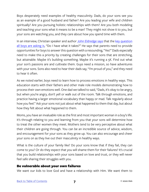Boys desperately need examples of healthy masculinity. Dads, do your sons see you as an example of a good husband and father? Are you leading your wife and children spiritually? Are you pursuing holistic relationships with them? Are you both modeling and teaching your sons what it means to be a man? They might not show it to you, but your sons are watching you, and they care about how you spend time with them.

In an interview, Christian speaker and author [John Eldredge says](http://parentingteenssummit.com/original#tmp_button-48267) that the key question [all boys are asking is](https://www.amazon.com/Wild-Heart-Revised-Updated-Discovering/dp/1400200393), "Do I have what it takes?" He says that parents need to provide opportunities for boys to answer this question with a resounding, "Yes!" Dads especially need to make this a priority by creating challenges for their sons that are stretching, but attainable. Maybe it's building something. Maybe it's running a 5K. Find out what your son's passions are and cultivate them. Guys need a mission, so have adventures with your sons. Sons also need to hear their dads say, "I'm proud of you," and they need to hear it often.

As we noted earlier, boys need to learn how to process emotions in healthy ways. This education starts with their fathers and other male role models demonstrating how to process their own emotions well. One dad we talked to said, "Dads, it's okay to be angry, but when you're angry, don't yell or walk out of the room. Talk through emotions, and practice having a larger emotional vocabulary than happy or mad. Talk regularly about how you feel." Ask your sons not just about what happened to them that day, but about how they felt about what happened to them.

Moms, you have an invaluable role as the first and most important woman in a boy's life. It's through relating to you and learning from you that your sons will determine how to treat the other women they meet. Mothers tend to be very perceptive about what their children are going through. You can be an incredible source of advice, wisdom, and encouragement for your sons as they grow up. You can also encourage and cheer your sons on as they live out their masculinity in healthy ways.

What is the culture of your family like? Do your sons know that if they fail, they can come to you? Or do they expect that you will shame them for their failures? It's crucial that you build relationships with your sons based on love and trust, or they will never feel safe sharing their struggles with you.

#### Be vulnerable about your own failures

We want our kids to love God and have a relationship with Him. We want them to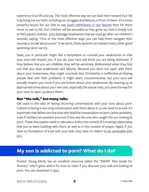<span id="page-31-0"></span>experience true life and joy. The most effective way we can lead them toward true life is by living out our faith, including our struggles and failures, in front of them. It's a more powerful lesson for our kids to [see God's faithfulness in our failures](http://www.covenanteyes.com/2017/09/20/principles-protect-your-kids-from-porn-addiction/) than for them never to see us fail. Our children *will* be wounded as they grow up; that is simply one of life's painful realities. [John Eldredge](https://www.amazon.com/Pure-Desire-Triumph-Others-Temptation/dp/0764215663) emphasizes that we must go after our children's wounds, saying, "One of the most effective ways you can help them navigate their wounds is to talk about yours." If we don't, these wounds can subvert every other good parenting tactic we try.

Dads, you in particular might feel a temptation to conceal your weaknesses so that your sons will respect you. If you do, your sons will know you are being dishonest. If they believe that you are infallible, they will be extremely disillusioned when they find out that you have weaknesses and failures. Because you were not open with them about your brokenness, they might conclude that Christianity is ineffective at helping people deal with their problems. It might seem counterintuitive, but your sons will actually respect you more if you are honest about your weaknesses. By opening up at appropriate times about your own sins, especially the sexual ones, you pave the way for your sons to open up about theirs.

#### Not "the talk," but many talks

Get used to the idea of having recurring conversations with your sons about porn. Culture is having a non-stop conversation with them about it, so we need to as well. It's important that fathers are the ones who lead the conversation on porn (when possible), even if mothers are present and even if she was the one who caught the son looking at porn. These discussions need to take place within the context of a trusting relationship that you've been building with them, as well as in the context of prayer. Again, if you have no foundation of trust with your kids, they have no reason [to be vulnerable with](http://www.covenanteyes.com/2018/02/23/5-tips-to-help-kids-be-honest-about-porn/) [you](http://www.covenanteyes.com/2018/02/23/5-tips-to-help-kids-be-honest-about-porn/).

## **My son is addicted to porn? What do I do?**

Protect Young Minds has an excellent resource called the "SMART Plan Guide for Parents," which gives advice for how to react if you discover your kids are looking at porn. You can download it [here.](https://protectyoungminds.org/resources/)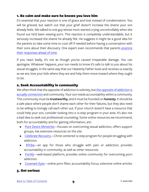#### 1. Be calm and make sure he knows you love him

It's essential that your reaction is one of grace and love instead of condemnation. You will be grieved, but watch out that your grief doesn't increase the shame your son already feels. We talked to one guy whose mom started crying uncontrollably when she found out he'd been viewing porn. This reaction is *completely* understandable, but it seriously increased the shame he already felt. He suggests it might be a good idea for the parents to take some time to cool off if needed before having a conversation with their sons about their discovery. One expert even recommends that parents [practice](http://www.covenanteyes.com/2017/02/09/react-first-time-child-admits-watching-porn/) [their responses ahead of time.](http://www.covenanteyes.com/2017/02/09/react-first-time-child-admits-watching-porn/)

If you react badly, it's not as though you've caused irreparable damage. You can apologize. Whatever happens, your son needs to know it's safe to talk to you about his sexual struggles. In the same way that our Heavenly Father loves and receives us exactly as we are, love your kids where they are and help them move toward where they ought to be.

#### 2. Seek Accountability in community

We often think that [the opposite of](https://www.youtube.com/watch?v=ao8L-0nSYzg) [addiction is](https://www.youtube.com/watch?v=ao8L-0nSYzg) sobriety, but the opposite of addiction is [actually connection](https://www.youtube.com/watch?v=ao8L-0nSYzg) and community. Your son needs accountability within a community. This community must be **trustworthy**, and it must be founded on **honesty**. It should be a safe place where people don't shame each other for their failures, but they also need to be willing to lovingly call each other out. If your church doesn't have a resource that could help your son, consider looking into a 12-step program in your area. It's also not a bad idea to seek out professional counseling. Some online resources we recommend, both for accountability and for gaining information, are:

- [Pure Desire Ministries](https://puredesire.org)—focuses on overcoming sexual addiction, offers support groups, has extensive resources on the site.
- Celebrate Recovery-Christ-centered 12-step program for people struggling with addiction.
- [RTribe—](https://www.rtribe.org)an app for those who struggle with pain or addiction; provides accountability in community, as well as other resources.
- [Fortify—](https://www.joinfortify.com/sign-up)web-based platform; provides online community for overcoming porn addiction.
- [Covenant Eyes—](http://www.covenanteyes.com)online porn filter; accountability focus, extensive online articles

#### 3. Get serious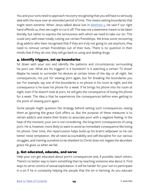You and your sons need to approach recovery recognizing that you will have to seriously deal with the issue over an extended period of time. This means setting boundaries that might seem extreme. When Jesus talked about lust in [Matthew 5,](https://www.biblegateway.com/passage/?search=Matthew+5&version=NIV) He said if our right hand offends us, then we ought to cut it off. This was not a statement meant to be taken literally, but rather to express the seriousness with which we need to take our sin. This could very well mean totally cutting out certain friendships. We know some recovering drug addicts who have recognized that if they are truly not going to use anymore, they need to remove certain friendships out of their lives. There is no question in their minds that if they do not, they will go back to using and dealing drugs.

#### 4. Identify triggers, set up boundaries

Sit down with your son and identify the patterns and circumstances surrounding his porn use. What are his triggers? Is it boredom? Is it watching a certain TV show? Maybe he needs to surrender his devices at certain times of the day or all night. Set consequences, not just for viewing porn again, but for breaking the boundaries you set. For example, say one of the boundaries is no phone in his room at night, and the consequence is he loses his phone for a week. If he brings his phone into his room at night, even if he doesn't look at porn, he still gets the consequence of losing the phone for a week. The idea is that he experiences the consequences before even getting to the point of viewing porn again.

Some people might question the strategy behind setting such consequences, seeing them as ignoring the grace God offers us. But the purpose of these measures is to retrain addicts and rewire their brains to associate porn with a negative feeling. In the heat of the moment, your son is not considering the long-term consequences of using porn. He is, however, more likely to want to avoid an immediate consequence like losing his phone. Over time, this repercussion helps build up his brain's willpower so he can better resist temptation. We all need accountability and self-discipline for our various struggles, and training ourselves to be obedient to Christ does not negate the abundant grace He gives us when we fail.

#### 5. Get educated, educate, and serve

Help your son get educated about porn's consequences and, if possible, teach others. There's no better way to learn something than by teaching someone else about it. Find ways to serve victims of sexual exploitation. It will be harder for your son to participate in a sin if he is constantly helping the people that the sin is harming. As you educate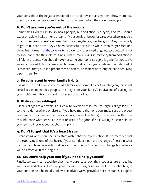your sons about the negative impact of porn and how it hurts women, show them how they truly are the heroes and protectors of women when they reject using porn.

#### 6. Don't assume you're out of the woods

Sometimes God miraculously heals people, but addiction is a cycle, and you should expect that it will take time to break it. If your son is or becomes a recovered porn addict, **it is crucial you do not assume that the struggle is gone for good.** Guys especially might think that once they've been successful for a little while, then they're free and clear. But it takes [months](https://www.duffysrehab.com/about/blog/how-long-does-it-take-to-break-the-habit-of-addiction/) to [years](https://www.amazon.com/Pure-Desire-Triumph-Others-Temptation/dp/0764215663) to recover, and they need ongoing accountability not to slide back into their old routines. What's more, living in recovery from addiction is a lifelong process. You should **never** assume your son's struggle is gone for good. We know of two addicts who were each clean for about 20 years before they relapsed. It is essential that your son practices wise habits, no matter how long he has been living a porn-free life.

#### 7. Be consistent in your family habits

Evaluate the media you consume as a family, and commit to not watching anything that sexualizes or objectifies people. This might be your family's equivalent of cutting off your right hand. Be consistent in all areas of your life.

#### 8. Utilize older siblings!

Older siblings are a powerful but easy-to-overlook resource. Younger siblings look up to their older brothers or sisters. If you have more than one son, make sure the oldest is aware of the influence he has over his younger brother(s). The oldest brother has this influence whether he abuses it or uses it for good. If he is willing, he can help his younger siblings not get caught up in porn.

#### 9. Don't forget that it's a heart issue

Overcoming addiction needs to start with behavior modification. But remember that the root issue is one of the heart. If your son does not have a change of heart in what he loves and how he sees himself, no amount of effort to help him change his behavior will be effective in the long run.

#### 10. You can't help your son if you need help yourself

Finally, we want to recognize that many parents and/or their spouses are struggling with porn addictions. If you or your spouse is using porn, you will not be able to give your son the help he needs. Follow the advice we've provided here insofar as it applies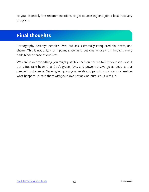<span id="page-35-0"></span>to you, especially the recommendations to get counselling and join a local recovery program.

## **Final thoughts**

Pornography destroys people's lives, but Jesus eternally conquered sin, death, and shame. This is not a light or flippant statement, but one whose truth impacts every dark, hidden space of our lives.

We can't cover everything you might possibly need on how to talk to your sons about porn. But take heart that God's grace, love, and power to save go as deep as our deepest brokenness. Never give up on your relationships with your sons, no matter what happens. Pursue them with your love just as God pursues us with His.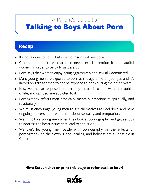## <span id="page-36-0"></span>Talking to Boys About Porn A Parent's Guide to

## **Recap**

- It's not a question of if, but when our sons will see porn.
- Culture communicates that men need sexual attention from beautiful women in order to be truly successful.
- Porn says that women enjoy being aggressively and sexually dominated.
- Many young men are exposed to porn at the age or 10 or younger, and it's incredibly rare for men to not be exposed to porn during their teen years.
- However men are exposed to porn, they can use it to cope with the troubles of life, and can become addicted to it.
- Pornography affects men physically, mentally, emotionally, spiritually, and relationally.
- We must encourage young men to see themselves as God does, and have ongoing conversations with them about sexuality and temptation.
- We must love young men when they look at pornography, and get serious to address the heart issues that lead to addiction.
- We can't let young men battle with pornography or the effects or pornography on their own! Hope, healing, and holiness are all possible in Christ!

#### **Hint: Screen shot or print this page to refer back to later!**

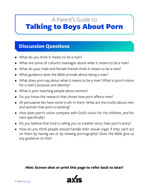## <span id="page-37-0"></span>Talking to Boys About Porn A Parent's Guide to

## **Discussion Questions**

- What do you think it means to be a man?
- What are some of culture's messages about what it means to be a man?
- What do your male and female friends think it means to be a man?
- What guidance does the Bible provide about being a man?
- What does porn say about what it means to be a man? What is porn's vision for a man's purpose and identity?
- What is porn teaching people about women?
- Do you know the research that shows how porn affects men?
- All persuasive lies have some truth in them. What are the truths about men and women that porn is twisting?
- How does porn's vision compare with God's vision for His children, and for men specifically?
- Do you believe that God is calling you to a better story than porn's story?
- How do you think people should handle their sexual urges if they can't act on them by having sex or by viewing pornography? Does the Bible give us any guidance on this?

#### **Hint: Screen shot or print this page to refer back to later!**

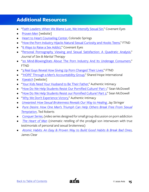## <span id="page-38-0"></span>**Additional Resources**

- ["Faith Leaders: When We Blame Lust, We Intensify Sexual Sin](http://www.covenanteyes.com/2018/03/05/blaming-lust-intensifies-sexual-sin/)," Covenant Eyes
- [Proven Men](https://www.provenmen.org/about-us/) [website]
- [Heart to Heart Counseling Center](https://drdougweiss.com), Colorado Springs
- ["How the Porn Industry Hijacks Natural Sexual Curiosity and Hooks Teens,](https://fightthenewdrug.org/how-the-porn-industry-gains-and-exploits-its-lifelong-clients/)" FTND
- ["6 Ways to Raise a Sex Addict](http://www.covenanteyes.com/2017/02/24/6-ways-to-raise-a-sex-addict/)," Covenant Eyes
- ["Personal Pornography Viewing and Sexual Satisfaction: A Quadratic Analysis,](https://www.tandfonline.com/doi/full/10.1080/0092623X.2017.1377131)" *Journal of Sex & Marital Therapy*
- ["20 Mind-BlowingStats About The Porn Industry And Its Underage Consumers,](https://fightthenewdrug.org/10-porn-stats-that-will-blow-your-mind/)" FTND
- ["3 Real Guys Reveal How Giving Up Porn Changed Their Lives](https://fightthenewdrug.org/love-is-more-real-after-i-stopped-watching-porn/)," FTND
- ["'HOPE' Through a Men's Accountability Group](https://sharedhope.org/2013/01/mens-accountability-group-hope/)," Shared Hope International
- **[X3watch](https://x3watch.com) [website]**
- ["Your Kids Need Your Husband to Be Their Father](https://www.authenticintimacy.com/resources/2981/your-kids-need-your-husband-to-be-their-father)," Authentic Intimacy
- ["How Do We Help Students Resist Our Pornified Culture? Part 1,](http://seanmcdowell.org/blog/how-do-we-help-students-resist-our-pornified-culture-part-1)" Sean McDowell
- ["How Do We Help Students Resist our Pornified Culture? Part 2](http://seanmcdowell.org/blog/how-do-we-help-students-resist-our-pornified-culture-part-2)," Sean McDowell
- ["Why We Don't Experience Victory,](https://www.authenticintimacy.com/resources/2842/why-we-dont-experience-victory)" Authentic Intimacy
- *[Unwanted: How Sexual Brokenness Reveals Our Way to Healing](https://www.amazon.com/Unwanted-Sexual-Brokenness-Reveals-Healing/dp/1631466720)*[,](https://www.amazon.com/Unwanted-Sexual-Brokenness-Reveals-Healing/dp/1631466720) Jay Stringer
- *[Pure Desire: How One Man's Triumph Can Help Others Break Free From Sexual](https://www.amazon.com/Pure-Desire-Triumph-Others-Temptation/dp/0764215663) [Temptation](https://www.amazon.com/Pure-Desire-Triumph-Others-Temptation/dp/0764215663)*, Ted Roberts
- *[Conquer Series](https://conquerseries.com/)*, (video series designed for small group discussion on porn addiction
- *[The Heart of Man](http://heartofmanmovie.com/)* (cinematic retelling of the prodigal son interwoven with true testimonials of personal and sexual brokenness)
- *[Atomic Habits: An Easy & Proven Way to Build Good Habits & Break Bad Ones](https://www.amazon.com/Atomic-Habits-Proven-Build-Break/dp/0735211299)*, James Clear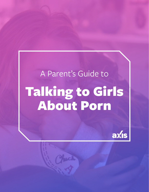# A Parent's Guide to Talking to Girls About Porn

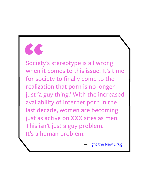

Society's stereotype is all wrong when it comes to this issue. It's time for society to finally come to the realization that porn is no longer just 'a guy thing.' With the increased availability of internet porn in the last decade, women are becoming just as active on XXX sites as men. This isn't just a guy problem. It's a human problem.

— Fight the New Drug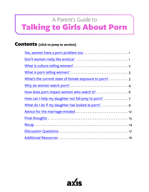## <span id="page-41-0"></span>Talking to Girls About Porn A Parent's Guide to

### Contents **(click to jump to section)**

| What's the current state of female exposure to porn? 3 |
|--------------------------------------------------------|
|                                                        |
| How does porn impact women who watch it?  6            |
|                                                        |
|                                                        |
|                                                        |
|                                                        |
|                                                        |
|                                                        |
|                                                        |

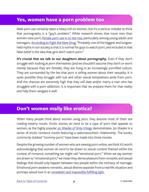### <span id="page-42-0"></span>**Yes, women have a porn problem too**

Male porn use certainly takes a heavy toll on women, but it's a serious mistake to think that pornography is a "guy's problem." While research shows that more men than women view porn, [female porn use is on the rise,](http://www.covenanteyes.com/2012/06/26/girls-like-porn-too-a-timely-message-for-parents/) particularly among young adults and teenagers. [According to Fight the New Drug,](https://fightthenewdrug.org/women-struggle-with-porn-share-powerful-messages/) "Probably one of the biggest and longestheld myths in our society is that it is normal for guys to watch porn, and included in that false belief is the idea that girls don't watch porn."

**It's crucial that we talk to our daughters about pornography.** Even if they don't struggle with looking at porn themselves (and we shouldn't assume they don't or won't merely because they are female), they are living in an increasingly pornified culture. They are surrounded by the lies that porn is telling women about their sexuality. It is quite possible they struggle with lust and other sexual temptations aside from porn. And the chances are extremely high that they will date and/or marry a man who has struggled with a porn addiction. It is important that we prepare them for that reality and help them navigate it well.

## **Don't women maily like erotica?**

When many people think about women using porn, they assume most of them are reading steamy novels. Erotic stories do tend to be a type of porn that appeals to women, as the highly popular *[50 Shades of Grey](https://www.cnn.com/2012/07/13/living/fifty-shades-buzz-50-shades-success/index.html)* [trilogy](https://www.cnn.com/2012/07/13/living/fifty-shades-buzz-50-shades-success/index.html) demonstrates. *50 Shades* is a series of erotic romance novels featuring a sadomasochistic relationship. The books, commonly dubbed "mommy porn," have been made into three movies.

Despite the growing number of women who are viewing porn online, we think it's worth acknowledging that women do tend to be drawn to sexual content framed within the context of romance, something we might call "emotional porn." When we say women are drawn to "emotional porn," we mean they derive pleasure from romantic and sexual feelings that should only happen between two people within the intimacy of marriage. Emotional porn awakens romantic, sexual desires separate from a real-life situation and portrays sexual love in an [unrealistic and impossibly fulfilling light.](https://www.authenticintimacy.com/resources/5656/you-can-be-single-sexual)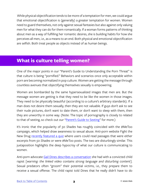<span id="page-43-0"></span> While physical objectification tends to be more of a temptation for men, we could argue that emotional objectification is (generally) a greater temptation for women. Women need to guard themselves, not only against sexual fantasies but also against only valuing men for what they can do for them romantically. If a woman forms patterns of thinking about men as a way of fulfilling her romantic desires, she is building habits for how she perceives all men, i.e., as a means to an end. Both physical and emotional objectification are selfish. Both treat people as objects instead of as human beings.

## **What is culture telling women?**

One of the major points in our "Parent's Guide to Understanding the Porn Threat" is that culture is being "pornified." Behaviors and scenarios once only acceptable within porn are becoming normalized in pop culture. Women are getting the message through countless avenues that objectifying themselves sexually is empowering.

Women are bombarded by the same hypersexualized images that men are. But the message women are getting is that they need to be like the women in those images. They need to be physically beautiful (according to a culture's arbitrary standards). If a man does not desire them sexually, then they are not valuable. If guys don't ask to see their nude pictures, don't want to date them, or don't want to sleep with them, then they are unworthy in some way. (Note: The topic of pornography is closely to related to that of sexting, so check out our "[Parent's Guide to Sexting](https://axis.org/guides)" for more.)

It's ironic that the popularity of *50 Shades* has roughly coincided with the #MeToo campaign, which helped draw awareness to sexual abuse. Anti-porn website Fight the New Drug [recently featured a quiz](https://fightthenewdrug.org/metoo-fifty-shades-quiz/) where users could read passages that were either excerpts from *50 Shades* or were #MeToo posts. The two are disturbingly similar. This juxtaposition highlights the deep hypocrisy of what our culture is communicating to women.

Anti-porn advocate [Gail Dines describes a conversation](https://www.youtube.com/watch?v=_YpHNImNsx8) she had with a convicted child rapist [*warning: the linked video contains strong language and disturbing content*]. Sexual predators often "groom" their potential victims, i.e., they prepare them to receive a sexual offense. The child rapist told Dines that he really didn't have to do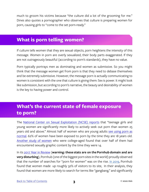<span id="page-44-0"></span>much to groom his victims because "the culture did a lot of the grooming for me." Dines also quotes a pornographer who observes that culture is preparing women for porn, causing girls to "come to the set porn-ready."

## **What is porn telling women?**

If culture tells women that they are sexual objects, porn heightens the intensity of this message. Women in porn are overly sexualized, their body parts exaggerated. If they are not outrageously beautiful (according to porn's standards), they have no value.

Porn typically portrays men as dominating and women as submissive. So you might think that the message women get from porn is that they need to debase themselves and be extremely submissive. However, the message porn is actually communicating to women is consistent with the one that culture is giving them: Sex is power. It might look like submission, but according to porn's narrative, the beauty and desirability of women is the key to having power and control.

## **What's the current state of female exposure to porn?**

The [National Center on Sexual Exploitation \(NCSE\) reports](http://endsexualexploitation.org/wp-content/uploads/NCOSE_Pornography-PublicHealth_ResearchSummary_8-2_17_FINAL-with-logo.pdf) that "teenage girls and young women are significantly more likely to actively seek out porn than women 25 years old and above." Almost half of women who are young adults [see using porn as](http://www.covenanteyes.com/2013/08/30/women-addicted-to-porn-stats/)  [normal](http://www.covenanteyes.com/2013/08/30/women-addicted-to-porn-stats/). 62% of women have been exposed to porn by the time they are 18 years old. [Another study of women](http://journals.sagepub.com/doi/abs/10.1177/1077801211424555) who were college-aged found that over half of them had encountered sexually graphic content by the time they were 14.

In its [2017 Year in Review](https://www.pornhub.com/insights/2017-year-in-review) (**warning: these stats are on the Pornhub domain and are very disturbing**), Pornhub (one of the biggest porn sites in the world) proudly observed that the number of searches for "porn for women" was on the rise. [In 2019,](https://www.pornhub.com/insights/2019-year-in-review#gender) Pornhub found that women made up roughly 32% of visitors to its site, In their analysis, they found that women are more likely to search for terms like "gangbang," and significantly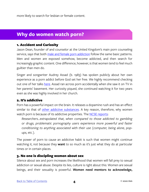<span id="page-45-0"></span>more likely to search for lesbian or female content.

## **Why do women watch porn?**

#### 1. Accident and Curiosity

Jason Dean, founder of and counselor at the United Kingdom's main porn counseling service, says that both [male and female porn addiction](https://www.theguardian.com/culture/2011/apr/07/women-addicted-internet-pornography) follow the same basic patterns. Men and women are exposed somehow, become addicted, and then search for increasingly graphic content. One difference, however, is that women tend to feel much guiltier than men do.

Singer and songwriter Audrey Assad (b. 1983) has spoken publicly about her own experience as a porn addict before God set her free. We highly recommend checking out one of her talks [here](https://soundcloud.com/udreyssad/personal-witness). Assad ran across porn accidentally when she saw it on TV in her parents' basement. Her curiosity piqued, she continued watching it for two years even as she was highly involved in her church.

#### 2. It's addictive

Porn has a powerful impact on the brain. It releases a dopamine rush and has an effect similar to that of [other addictive substances](http://endsexualexploitation.org/wp-content/uploads/NCOSE_Pornography-PublicHealth_ResearchSummary_8-2_17_FINAL-with-logo.pdf). A key reason, therefore, why women watch porn is because of its addictive properties. The [NCSE reports](http://endsexualexploitation.org/wp-content/uploads/NCOSE_Pornography-PublicHealth_ResearchSummary_8-2_17_FINAL-with-logo.pdf):

*Researchers…extrapolated that, when compared to those addicted to gambling or drugs, problematic pornography users experience more powerful and faster conditioning to anything associated with their use (computer, being alone, popups, etc.).*

The power of porn to cause an addictive habit is such that women might continue watching it, not because they **want** to so much as it's just what they do at particular times or in certain places.

#### 3. No one is discipling women about sex

Silence about sex and porn increases the likelihood that women will fall prey to sexual addiction or sexual abuse. Despite its lies, culture is right about this: Women are sexual beings, and their sexuality is powerful. **Women need mentors to acknowledge,**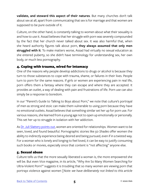**validate, and steward this aspect of their natures**. But many churches don't talk about sex at all, apart from communicating that sex is for marriage and that women are supposed to be pure outside of it.

Culture, on the other hand, is constantly talking to women about what their sexuality is and how to use it. Assad believes that her struggle with porn was severely compounded by the fact that her church never talked about sex. It was also harmful that, when she heard authority figures talk about porn, **they always assumed that only men struggled with it**. To make matters worse, Assad had virtually no sexual education as she entered puberty, so she didn't have terminology for understanding sex, her own body, or much less pornography.

#### 4. Coping with trauma, wired for intamacy

One of the reasons why people develop addictions to drugs or alcohol is because they turn to those substances to cope with trauma, shame, or failures in their lives. People turn to porn for the same reasons. If girls or women are experiencing pain in real life, porn offers them a fantasy where they can escape and where they are accepted. It provides an outlet, a way of dealing with pain and frustrations of life. Porn use can also simply be a response to boredom.

In our "Parent's Guide to Talking to Boys about Porn," we note that culture's portrayal of men as strong and stoic can make them vulnerable to using porn because they have no emotional outlets. Assad believes that something similar set her up for porn use. For various reasons, she learned from a young age not to open up emotionally or personally. This set her up to struggle in isolation with her addiction.

As [Dr. Juli Slattery points out,](https://www.authenticintimacy.com/resources/3679/the-good-news-about-fifty-shades-darker) women are oriented for relationships. Women want to be seen, loved, and found beautiful. Pornographic stories like *50 Shades* offer women the ability to indirectly experience being desired and being pursued, even if in a twisted way. For a woman who is lonely and longing to feel loved, it can be easy to justify consuming such books or movies, especially since that content is "not affecting" anyone else.

#### 5. Sexual abuse

Culture tells us that the more sexually liberated a woman is, the more empowered she will be. But even Vice magazine, in its article, "Why Are So Many Women Searching for Ultra-Violent Porn?" suggests it is troubling that so many women are viewing porn that portrays violence against women [*Note: we have deliberately not linked to this article*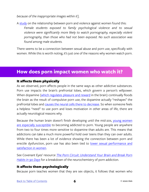<span id="page-47-0"></span>*because of the inappropriate images within it*].

A [study](http://citeseerx.ist.psu.edu/viewdoc/download?doi=10.1.1.840.5767&rep=rep1&type=pdf) on the relationship between porn and violence against women found this: *Female students exposed to family psychological violence and to sexual violence were significantly more likely to watch pornography, especially violent pornography, than those who had not been exposed. No such association was found among male students.*

There seems to be a connection between sexual abuse and porn use, specifically with women. While this is worth noting, it's just one of the reasons why women watch porn.

### **How does porn impact women who watch it?**

#### It affects them physically

As we observed, porn affects people in the same ways as other addictive substances. Porn use impacts the brain's prefrontal lobes, which govern a person's willpower. When dopamine [\(which regulates pleasure and reward](https://www.psychologytoday.com/us/basics/dopamine) in the brain) continually floods the brain as the result of compulsive porn use, the dopamine actually "reshapes" the prefrontal lobes and [causes the neural cells there to decrease.](http://www.covenanteyes.com/2014/02/28/hypofrontality/) So when someone feels a helpless "need" to use porn and loses motivation in other areas of life, there are actually neurological reasons why.

Because the human brain doesn't finish developing until the mid-20s, young women [are especially susceptible](http://www.covenanteyes.com/2018/01/08/5-reasons-porn-impacts-kids-more-than-adults/) to becoming addicted to porn. Young people are anywhere from two to four times more sensitive to dopamine than adults are. This means that addictions can take a much more powerful hold over teens than they can over adults. While there has been a lot of evidence showing the connection between porn and erectile dysfunction, porn use has also been tied to lower sexual performance and [satisfaction in women.](http://endsexualexploitation.org/wp-content/uploads/NCOSE_Pornography-PublicHealth_ResearchSummary_8-2_17_FINAL-with-logo.pdf)

See Covenant Eyes' resource *[The Porn Circuit: Understand Your Brain and Break Porn](http://learn.covenanteyes.com/porn-circuit/)  [Habits in 90 Days](http://learn.covenanteyes.com/porn-circuit/)* for a breakdown of the neurochemistry of porn addiction.

#### It affects them psychologically

Because porn teaches women that they are sex objects, it follows that women who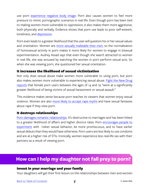<span id="page-48-0"></span>use porn [experience negative body image.](http://endsexualexploitation.org/wp-content/uploads/NCOSE_Pornography-PublicHealth_ResearchSummary_8-2_17_FINAL-with-logo.pdf) Porn also causes women to feel more pressure to mimic pornographic scenarios in real life. Even though porn has been tied to making women more vulnerable to oppression, it also makes them more aggressive, both physically and verbally. Evidence shows that porn use leads to poor self-esteem, loneliness, and [depression](https://www.provenmen.org/mental-health-depression-suicide-pornography-2/).

Porn even leads to a greater likelihood that the user will question his or her sexual values and orientation. Women are [more sexually malleable than men,](https://news.feinberg.northwestern.edu/2003/06/sexuality/) so the normalization of homosexual activity in porn makes it more likely for women to engage in bisexual experimentation. Audrey Assad says that even though she wasn't attracted to women in real life, she was aroused by watching the women in porn perform sexual acts. So when she was viewing porn, she questioned her sexual orientation.

#### It increases the likelihood of sexual victimization

Not only does sexual abuse make women more vulnerable to using porn, but porn also makes women more vulnerable to experiencing sexual abuse. [Fight the New Drug](https://fightthenewdrug.org/10-porn-stats-that-will-blow-your-mind/)  [reports](https://fightthenewdrug.org/10-porn-stats-that-will-blow-your-mind/) that female porn users between the ages of 14 and 19 "were at a significantly greater likelihood of being victims of sexual harassment or sexual assault."

This evidence makes sense because porn teaches its viewers that women enjoy sexual violence. Women are also [more likely to accept rape myths](http://endsexualexploitation.org/wp-content/uploads/NCOSE_Pornography-PublicHealth_ResearchSummary_8-2_17_FINAL-with-logo.pdf) and have sexual fantasies about rape if they view porn.

#### It destroys relationships

[Porn damages romantic relationships](http://endsexualexploitation.org/wp-content/uploads/NCOSE_Pornography-PublicHealth_ResearchSummary_8-2_17_FINAL-with-logo.pdf). It's destructive to marriages and has been linked to a greater likelihood of affairs and higher divorce rates. Porn encourages people to [experiment](https://link.springer.com/article/10.1007/s10508-009-9592-5) with riskier sexual behavior, be more promiscuous, and to have earlier sexual debuts than they would have otherwise. Porn users are less likely to use condoms and are at a higher risk of STIs. Ironically, women experience less real-life sex with their partners as a result of viewing porn.

## **How can I help my daughter not fall prey to porn?**

#### Invest in your marriage and your family

Your daughters will get their first lesson on the relationships between men and women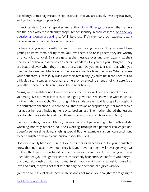based on your marriage/relationship. It's crucial that you are actively investing in a loving and godly marriage (if possible).

In an interview, Christian speaker and author [John Eldredge observes](http://parentingteenssummit.com/original#tmp_button-48267) that fathers are the ones who most strongly shape gender identity in their children. And the key [question all women are asking]( https://www.amazon.com/Captivating-Revised-Updated-Unveiling-Mystery/dp/1400200385) is, "Will I be chosen?" At their core, our daughters want to be seen and cherished for who they are.

Fathers, are you emotionally distant from your daughters or do you spend time getting to know them, telling them you love them, and telling them they are worthy of unconditional love? Girls are getting the message over and over again that their beauty is physical and depends on certain standards. Do you tell your daughters they are beautiful even when they are not dressed up? Do you make it clear that what you mean is they are beautiful for who they are, not just for how they look? When you see your daughters successfully living out their femininity (by trusting in the Lord during difficult circumstances, encouraging others, or by showing strength of character), do you affirm those qualities and praise their inner beauty?

Moms, your daughters need your love and affection as well, and they need for you to vulnerably live out what it means to be a godly woman. We know one woman whose mother habitually sought God through Bible study, prayer, and fasting all throughout the daughter's childhood. When the daughter was an appropriate age, her mother told her about her past, including her sexual brokenness. The mother shared the lessons God taught her as she healed from those experiences (which took a long time).

Even in the daughter's adulthood, her mother is still persevering in her faith and still wrestling honestly before God. She's working through her personal challenges and doesn't see herself as doing anything special. But her example is a significant testimony to her daughter of how to authentically seek the Lord.

Does your family have a culture of love or is it performance-based? Do your daughters know that, no matter how much they fail, your love for them will never go away? Or do they think your love is based on their behavior? Even if you know that your love is unconditional, your daughters need to consistently hear and see that from you. Are you pursuing relationships with your daughters? If you don't have relationships based on love and trust, they will not feel safe sharing their personal struggles with you.

(A note about sexual abuse: Sexual abuse does not mean your daughters are going to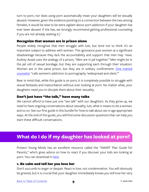<span id="page-50-0"></span>turn to porn, nor does using porn automatically mean your daughters will be sexually abused. However, given the evidence pointing to a connection between the two among females, it would be wise to be extra vigilant about porn addiction if your daughter has ever been abused. If she has, we strongly recommend getting professional counseling if you are not already seeking it.)

#### Recognize that women are in prison alone

People widely recognize that men struggle with lust, but tend not to think it's an important subject to address with women. This ignorance puts women at a significant disadvantage because they lack the accountability and support that men may have. Audrey Assad uses the analogy of a prison, "Men are in jail together." Men might be in the jail cell of sexual bondage, but they are supporting each through their situation. Women are in the same prison, but they are in solitary confinement. One trained [counselor](https://www.theguardian.com/culture/2011/apr/07/women-addicted-internet-pornography) "calls women's addiction to pornography 'widespread and silent.'"

Bear in mind that, while this guide is on porn, it is completely possible to struggle with sexual fantasies and masturbation without ever looking at porn. No matter what, your daughters need you to disciple them about their sexuality.

#### Don't just have "the talk," have many talks

We cannot afford to have just one "sex talk" with our daughters. As they grow up, we need to have ongoing conversations about sexuality, lust, what it means to be a woman, and so on. See our first guide in this bundle for how to talk about sex in age appropriate ways. At the end of this guide, you will find some discussion questions that can help you start these difficult conversations.

## **What do I do if my daughter has looked at porn?**

Protect Young Minds has an excellent resource called the "SMART Plan Guide for Parents," which gives advice on how to react if you discover your kids are looking at porn. You can download it [here.](https://protectyoungminds.org/resources/)

#### 1. Be calm and tell her you love her

Don't succumb to anger or despair. React in love, not condemnation. You will obviously be grieved, but it is crucial that your daughter immediately knows you still love her very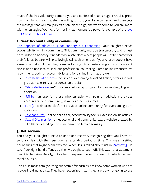much. If she has voluntarily come to you and confessed, that is huge. HUGE! Express how thankful you are that she was willing to trust you. If she confesses and then gets the message that you really aren't a safe place to go, she won't come to you any more with her struggles. Your [love](https://www.authenticintimacy.com/resources/2777/encountering-the-radical-love-of-jesus) for her in that moment is a powerful example of the love [that Christ has for all of us](https://www.authenticintimacy.com/resources/2777/encountering-the-radical-love-of-jesus).

#### 2. Seek Accountability in community

[The opposite of addiction is not sobriety, but connection](https://www.youtube.com/watch?v=ao8L-0nSYzg). Your daughter needs accountability within a community. This community must be **trustworthy** and it must be founded on **honesty**. It needs to be a safe place where people will not be shamed for their failures, but are willing to lovingly call each other out. If your church doesn't have a resource that could help her, consider looking into a 12-step program in your area. It also is not a bad idea to seek out professional counseling. Some online resources we recommend, both for accountability and for gaining information, are:

- [Pure Desire Ministries](https://puredesire.org)—focuses on overcoming sexual addiction, offers support groups, has extensive resources on the site.
- [Celebrate Recovery—](http://www.celebraterecovery.com)Christ-centered 12-step program for people struggling with addiction.
- [RTribe—](https://www.rtribe.org)an app for those who struggle with pain or addiction; provides accountability in community, as well as other resources.
- [Fortify—](https://www.joinfortify.com/sign-up)web-based platform; provides online community for overcoming porn addiction.
- [Covenant Eyes—](http://www.covenanteyes.com)online porn filter; accountability focus, extensive online articles
- [Sexual Discipleship—](https://sexualdiscipleship.com/)an educational and community based website created by Juli Slattery, a leading Christian thinker on female sexuality.

#### 3. Get serious

You and your daughters need to approach recovery recognizing that you'll have to seriously deal with the issue over an extended period of time. This means setting boundaries that might seem extreme. When Jesus talked about lust in [Matthew 5,](https://www.biblegateway.com/passage/?search=Matthew+5&version=NIV) He said if our right hand offends us, then we ought to cut it off. This was not a statement meant to be taken literally, but rather to express the seriousness with which we need to take our sin.

This could mean totally cutting out certain friendships. We know some women who are recovering drug addicts. They have recognized that if they are truly not going to use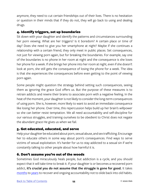anymore, they need to cut certain friendships out of their lives. There is no hesitation or question in their minds that if they do not, they will go back to using and dealing drugs.

#### 4. Identify triggers, set up boundaries

Sit down with your daughter and identify the patterns and circumstances surrounding her porn viewing. What are her triggers? Is it boredom? A certain place or time of day? Does she need to give you her smartphone at night? Maybe if she continues a relationship with a certain friend, they only meet in public places. Set consequences, not just for viewing porn again, but for breaking the boundaries. For example, say one of the boundaries is no phone in her room at night and the consequence is she loses her phone for a week. If she brings her phone into her room at night, even if she doesn't look at porn, she still gets the consequence of losing the phone for a week. The idea is that she experiences the consequences before even getting to the point of viewing porn again.

Some people might question the strategy behind setting such consequences, seeing them as ignoring the grace God offers us. But the purpose of these measures is to retrain addicts and rewire their brains to associate porn with a negative feeling. In the heat of the moment, your daughter is not likely to consider the long-term consequences of using porn. She is, however, more likely to want to avoid an immediate consequence like losing her phone. Over time, this repercussion helps build up her brain's willpower so she can better resist temptation. We all need accountability and self-discipline for our various struggles, and training ourselves to be obedient to Christ does not negate the abundant grace He gives us when we fail.

#### 5. Get educated, educated, and serve

Help your daughter be educated about porn, sexual abuse, and sex trafficking. Encourage her to educate others in some way about porn's consequences. Find ways to serve victims of sexual exploitation. It's harder for us to stay addicted to a sexual sin if we're constantly talking to other people about how harmful it is.

#### 6. Don't assume you're out of the woods

Sometimes God miraculously heals people, but addiction is a cycle, and you should expect that it will take time to break it. If your daughter is or becomes a recovered porn addict, **it's crucial you do not assume that the struggle is gone for good.** It takes [months](https://www.duffysrehab.com/about/blog/how-long-does-it-take-to-break-the-habit-of-addiction/) to [years](https://www.amazon.com/Pure-Desire-Triumph-Others-Temptation/dp/0764215663) to recover and ongoing accountability not to slide back into old habits.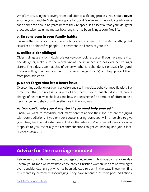<span id="page-53-0"></span>What's more, living in recovery from addiction is a lifelong process. You should **never** assume your daughter's struggle is gone for good. We know of two addicts who were each sober for about 20 years before they relapsed. It's essential that your daughter practices wise habits, no matter how long she has been living a porn-free life.

#### 7. Be consisten in your family habits

Evaluate the media you consume as a family, and commit not to watch anything that sexualizes or objectifies people. Be consistent in all areas of your life.

#### 8. Utilize older siblings!

Older siblings are a formidable but easy-to-overlook resource. If you have more than one daughter, make sure the oldest knows the influence she has over her younger sisters. The oldest sister has this influence whether she abandons it or uses it for good. If she is willing, she can be a mentor to her younger sister(s) and help protect them from porn addiction.

#### 9. Don't forget that it's a heart issue

Overcoming addiction or even curiosity requires immediate behavior modification. But remember that the root issue is one of the heart. If your daughter does not have a change of heart in what she loves and how she sees herself, no amount of effort to help her change her behavior will be effective in the long run.

#### 10. You can't help your daughter if you need help yourself

Finally, we want to recognize that many parents and/or their spouses are struggling with porn addictions. If you or your spouse is using porn, you will not be able to give your daughter the help she needs. Follow the advice we've provided here insofar as it applies to you, especially the recommendations to get counselling and join a local recovery program.

## **Advice for the marriage-minded**

Before we conclude, we want to encourage young women who hope to marry one day. Several young men we know have encountered Christian women who are not willing to even consider dating a guy who has been addicted to porn in the past. These men find this mentality extremely discouraging. They have repented of their porn addictions,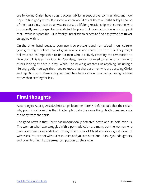<span id="page-54-0"></span>are following Christ, have sought accountability in supportive communities, and now hope to find godly wives. But some women would reject them outright solely because of their past sins. It can be unwise to pursue a lifelong relationship with someone who is currently and unrepentantly addicted to porn. But porn addiction is so rampant that—while it is possible—it is frankly unrealistic to expect to find a guy who has **never** struggled with it.

On the other hand, because porn use is so prevalent and normalized in our culture, your girls might believe that all guys look at it and that's just how it is. They might believe that it's impossible to find a man who is actively resisting the temptation to view porn. This is an insidious lie. Your daughters do not need to settle for a man who thinks looking at porn is okay. While God never guarantees us anything, including a lifelong, godly marriage, they need to know that there are men who are pursuing Christ and rejecting porn. Make sure your daughters have a vision for a man pursuing holiness rather than settling for less.

## **Final thoughts**

According to Audrey Assad, Christian philosopher Peter Kreeft has said that the reason why porn is so harmful is that it attempts to do the same thing death does: separate the body from the spirit.

The good news is that Christ has unequivocally defeated death and its hold over us. The women who have struggled with a porn addiction are many, but the women who have overcome porn addiction through the power of Christ are also a great cloud of witnesses! You are not without resources, and you are not alone. Pursue your daughters, and don't let them battle sexual temptation on their own.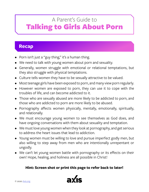## <span id="page-55-0"></span>Talking to Girls About Porn A Parent's Guide to

## **Recap**

- Porn isn't just a "guy thing," it's a human thing.
- We need to talk with young women about porn and sexuality.
- Generally, women struggle with emotional or relational temptations, but they also struggle with physical temptations.
- Culture tells women they have to be sexually attractive to be valued.
- Most teenage girls have been exposed to porn, and many view porn regularly.
- However women are exposed to porn, they can use it to cope with the troubles of life, and can become addicted to it.
- Those who are sexually abused are more likely to be addicted to porn, and those who are addicted to porn are more likely to be abused.
- Pornography affects women physically, mentally, emotionally, spiritually, and relationally.
- We must encourage young women to see themselves as God does, and have ongoing conversations with them about sexuality and temptation.
- We must love young women when they look at pornography, and get serious to address the heart issues that lead to addiction.
- Young women must be willing to love and pursue imperfect godly men, but also willing to step away from men who are intentionally unrepentant or ungodly.
- We can't let young women battle with pornography or its effects on their own! Hope, healing, and holiness are all possible in Christ!

#### **Hint: Screen shot or print this page to refer back to later!**

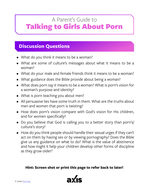## <span id="page-56-0"></span>Talking to Girls About Porn A Parent's Guide to

## **Discussion Questions**

- What do you think it means to be a woman?
- What are some of culture's messages about what it means to be a woman?
- What do your male and female friends think it means to be a woman?
- What guidance does the Bible provide about being a woman?
- What does porn say it means to be a woman? What is porn's vision for a woman's purpose and identity?
- What is porn teaching you about men?
- All persuasive lies have some truth in them. What are the truths about men and women that porn is twisting?
- How does porn's vision compare with God's vision for His children, and for women specifically?
- Do you believe that God is calling you to a better story than porn's/ culture's story?
- How do you think people should handle their sexual urges if they can't act on them by having sex or by viewing pornography? Does the Bible give us any guidance on what to do? What is the value of abstinence and how might it help your children develop other forms of discipline as they grow older?

#### **Hint: Screen shot or print this page to refer back to later!**